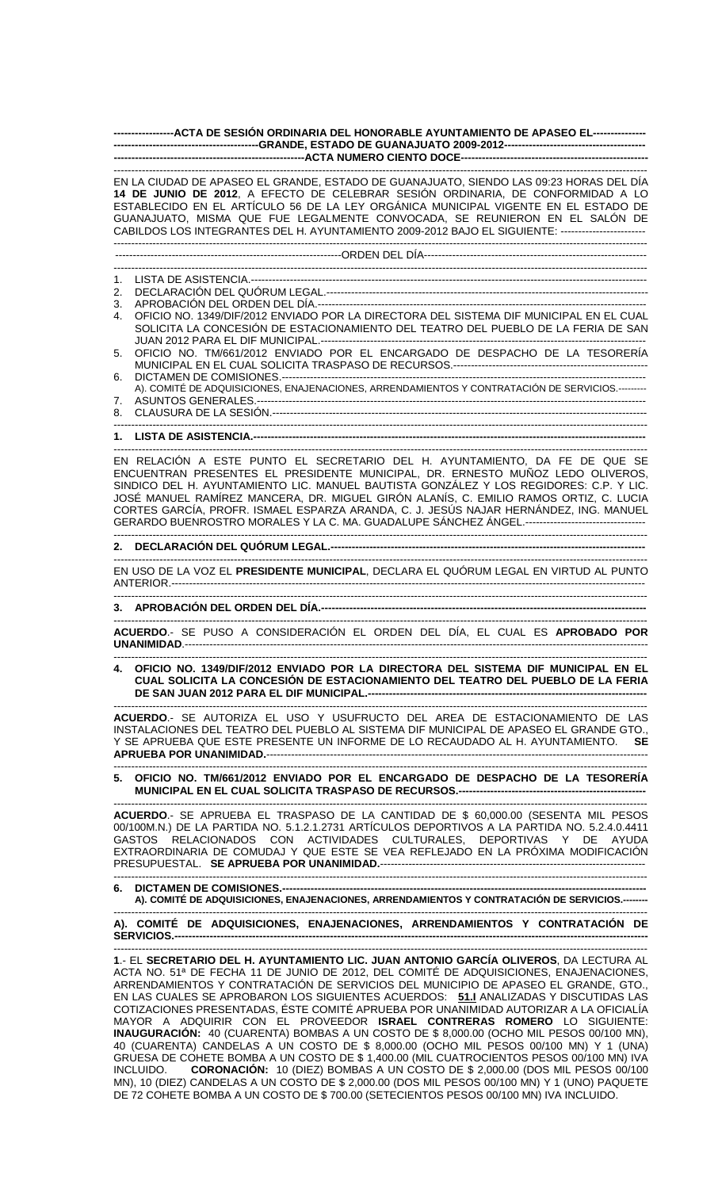**-----------------ACTA DE SESIÓN ORDINARIA DEL HONORABLE AYUNTAMIENTO DE APASEO EL--------------- -----------------------------------------GRANDE, ESTADO DE GUANAJUATO 2009-2012---------------------------------------- ------------------------------------------------------ACTA NUMERO CIENTO DOCE-----------------------------------------------------** 

------------------------------------------------------------------------------------------------------------------------------------------------------- EN LA CIUDAD DE APASEO EL GRANDE, ESTADO DE GUANAJUATO, SIENDO LAS 09:23 HORAS DEL DÍA **14 DE JUNIO DE 2012**, A EFECTO DE CELEBRAR SESIÓN ORDINARIA, DE CONFORMIDAD A LO ESTABLECIDO EN EL ARTÍCULO 56 DE LA LEY ORGÁNICA MUNICIPAL VIGENTE EN EL ESTADO DE GUANAJUATO, MISMA QUE FUE LEGALMENTE CONVOCADA, SE REUNIERON EN EL SALÓN DE CABILDOS LOS INTEGRANTES DEL H. AYUNTAMIENTO 2009-2012 BAJO EL SIGUIENTE: ------------------------ -------------------------------------------------------------------------------------------------------------------------------------------------------

----------------------------------------------------------------ORDEN DEL DÍA---------------------------------------------------------------

- ------------------------------------------------------------------------------------------------------------------------------------------------------- 1. LISTA DE ASISTENCIA.----------------------------------------------------------------------------------------------------------------
- 2. DECLARACIÓN DEL QUÓRUM LEGAL.-------------------------------------------------------------------------------------------
- 3. APROBACIÓN DEL ORDEN DEL DÍA.---
- 4. OFICIO NO. 1349/DIF/2012 ENVIADO POR LA DIRECTORA DEL SISTEMA DIF MUNICIPAL EN EL CUAL SOLICITA LA CONCESIÓN DE ESTACIONAMIENTO DEL TEATRO DEL PUEBLO DE LA FERIA DE SAN JUAN 2012 PARA EL DIF MUNICIPAL.--
- 5. OFICIO NO. TM/661/2012 ENVIADO POR EL ENCARGADO DE DESPACHO DE LA TESORERÍA MUNICIPAL EN EL CUAL SOLICITA TRASPASO DE RECURSOS.-------------------------------------------------------
- 6. DICTAMEN DE COMISIONES.------A). COMITÉ DE ADQUISICIONES, ENAJENACIONES, ARRENDAMIENTOS Y CONTRATACIÓN DE SERVICIOS.--------- 7. ASUNTOS GENERALES.--------------------------------------------------------------------------------------------------------------
- 8. CLAUSURA DE LA SESIÓN.---------------------------------------------------------------------------------------------------------- -------------------------------------------------------------------------------------------------------------------------------------------------------
- **1. LISTA DE ASISTENCIA.----**

------------------------------------------------------------------------------------------------------------------------------------------------------- EN RELACIÓN A ESTE PUNTO EL SECRETARIO DEL H. AYUNTAMIENTO, DA FE DE QUE SE ENCUENTRAN PRESENTES EL PRESIDENTE MUNICIPAL, DR. ERNESTO MUÑOZ LEDO OLIVEROS, SINDICO DEL H. AYUNTAMIENTO LIC. MANUEL BAUTISTA GONZÁLEZ Y LOS REGIDORES: C.P. Y LIC. JOSÉ MANUEL RAMÍREZ MANCERA, DR. MIGUEL GIRÓN ALANÍS, C. EMILIO RAMOS ORTIZ, C. LUCIA CORTES GARCÍA, PROFR. ISMAEL ESPARZA ARANDA, C. J. JESÚS NAJAR HERNÁNDEZ, ING. MANUEL GERARDO BUENROSTRO MORALES Y LA C. MA. GUADALUPE SÁNCHEZ ÁNGEL.----------------------------------

------------------------------------------------------------------------------------------------------------------------------------------------------- **2. DECLARACIÓN DEL QUÓRUM LEGAL.-----------------------------------------------------------------------------------------** 

EN USO DE LA VOZ EL **PRESIDENTE MUNICIPAL**, DECLARA EL QUÓRUM LEGAL EN VIRTUD AL PUNTO ANTERIOR.--------------------------------------------------------------------------------------------------------------------------------------

-------------------------------------------------------------------------------------------------------------------------------------------------------

-------------------------------------------------------------------------------------------------------------------------------------------------------

------------------------------------------------------------------------------------------------------------------------------------------------------- 3. APROBACIÓN DEL ORDEN DEL DÍA.----

------------------------------------------------------------------------------------------------------------------------------------------------------- **ACUERDO**.- SE PUSO A CONSIDERACIÓN EL ORDEN DEL DÍA, EL CUAL ES **APROBADO POR UNANIMIDAD**.-----------------------------------------------------------------------------------------------------------------------------------

------------------------------------------------------------------------------------------------------------------------------------------------------- **4. OFICIO NO. 1349/DIF/2012 ENVIADO POR LA DIRECTORA DEL SISTEMA DIF MUNICIPAL EN EL CUAL SOLICITA LA CONCESIÓN DE ESTACIONAMIENTO DEL TEATRO DEL PUEBLO DE LA FERIA DE SAN JUAN 2012 PARA EL DIF MUNICIPAL.--**

------------------------------------------------------------------------------------------------------------------------------------------------------- **ACUERDO**.- SE AUTORIZA EL USO Y USUFRUCTO DEL AREA DE ESTACIONAMIENTO DE LAS INSTALACIONES DEL TEATRO DEL PUEBLO AL SISTEMA DIF MUNICIPAL DE APASEO EL GRANDE GTO., Y SE APRUEBA QUE ESTE PRESENTE UN INFORME DE LO RECAUDADO AL H. AYUNTAMIENTO. **SE APRUEBA POR UNANIMIDAD.**------------------------------------------------------------------------------------------------------------

------------------------------------------------------------------------------------------------------------------------------------------------------- **5. OFICIO NO. TM/661/2012 ENVIADO POR EL ENCARGADO DE DESPACHO DE LA TESORERÍA MUNICIPAL EN EL CUAL SOLICITA TRASPASO DE RECURSOS.-----------------------------------------------------** 

**ACUERDO**.- SE APRUEBA EL TRASPASO DE LA CANTIDAD DE \$ 60,000.00 (SESENTA MIL PESOS 00/100M.N.) DE LA PARTIDA NO. 5.1.2.1.2731 ARTÍCULOS DEPORTIVOS A LA PARTIDA NO. 5.2.4.0.4411 GASTOS RELACIONADOS CON ACTIVIDADES CULTURALES, DEPORTIVAS Y DE AYUDA EXTRAORDINARIA DE COMUDAJ Y QUE ESTE SE VEA REFLEJADO EN LA PRÓXIMA MODIFICACIÓN PRESUPUESTAL. **SE APRUEBA POR UNANIMIDAD.**---------------------------------------------------------------------------

------------------------------------------------------------------------------------------------------------------------------------------------------- **6. DICTAMEN DE COMISIONES.-A). COMITÉ DE ADQUISICIONES, ENAJENACIONES, ARRENDAMIENTOS Y CONTRATACIÓN DE SERVICIOS.--------** 

------------------------------------------------------------------------------------------------------------------------------------------------------- **A). COMITÉ DE ADQUISICIONES, ENAJENACIONES, ARRENDAMIENTOS Y CONTRATACIÓN DE SERVICIOS.--------------------------------------------------------------------------------------------------------------------------------------** 

------------------------------------------------------------------------------------------------------------------------------------------------------- **1**.- EL **SECRETARIO DEL H. AYUNTAMIENTO LIC. JUAN ANTONIO GARCÍA OLIVEROS**, DA LECTURA AL ACTA NO. 51ª DE FECHA 11 DE JUNIO DE 2012, DEL COMITÉ DE ADQUISICIONES, ENAJENACIONES, ARRENDAMIENTOS Y CONTRATACIÓN DE SERVICIOS DEL MUNICIPIO DE APASEO EL GRANDE, GTO., EN LAS CUALES SE APROBARON LOS SIGUIENTES ACUERDOS: **51.I** ANALIZADAS Y DISCUTIDAS LAS COTIZACIONES PRESENTADAS, ÉSTE COMITÉ APRUEBA POR UNANIMIDAD AUTORIZAR A LA OFICIALÍA MAYOR A ADQUIRIR CON EL PROVEEDOR **ISRAEL CONTRERAS ROMERO** LO SIGUIENTE: **INAUGURACIÓN:** 40 (CUARENTA) BOMBAS A UN COSTO DE \$ 8,000.00 (OCHO MIL PESOS 00/100 MN), 40 (CUARENTA) CANDELAS A UN COSTO DE \$ 8,000.00 (OCHO MIL PESOS 00/100 MN) Y 1 (UNA) GRUESA DE COHETE BOMBA A UN COSTO DE \$ 1,400.00 (MIL CUATROCIENTOS PESOS 00/100 MN) IVA INCLUIDO. **CORONACIÓN:** 10 (DIEZ) BOMBAS A UN COSTO DE \$ 2,000.00 (DOS MIL PESOS 00/100 MN), 10 (DIEZ) CANDELAS A UN COSTO DE \$ 2,000.00 (DOS MIL PESOS 00/100 MN) Y 1 (UNO) PAQUETE DE 72 COHETE BOMBA A UN COSTO DE \$ 700.00 (SETECIENTOS PESOS 00/100 MN) IVA INCLUIDO.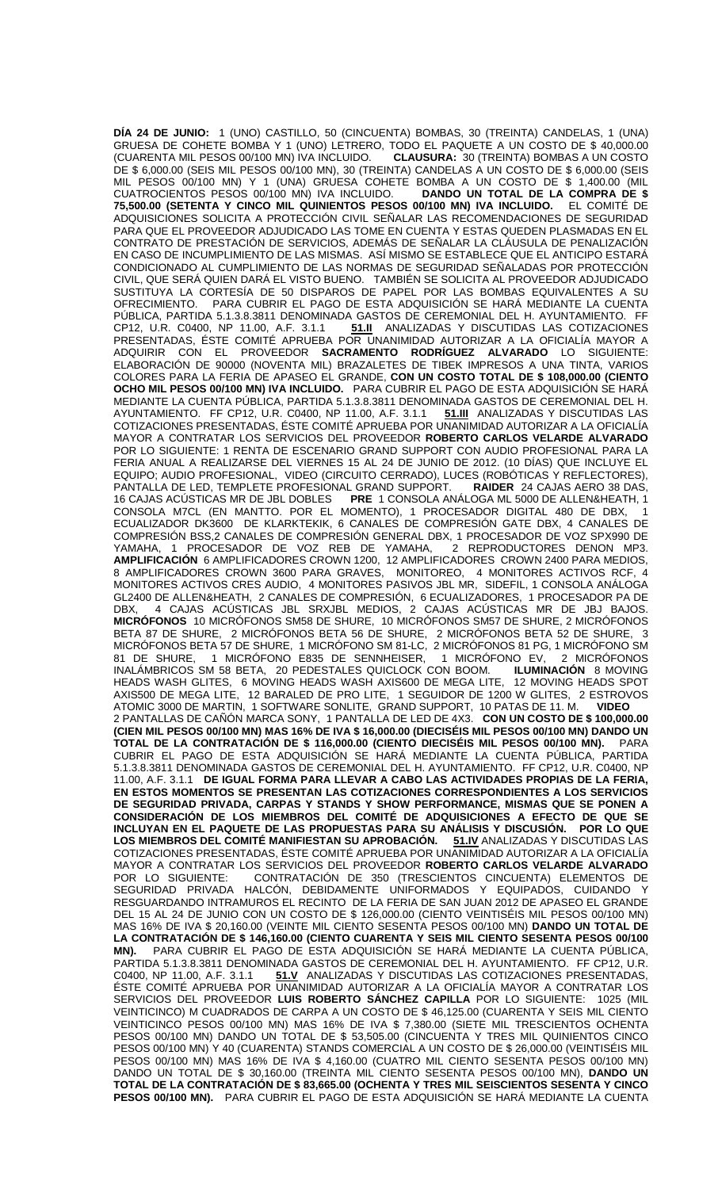**DÍA 24 DE JUNIO:** 1 (UNO) CASTILLO, 50 (CINCUENTA) BOMBAS, 30 (TREINTA) CANDELAS, 1 (UNA) GRUESA DE COHETE BOMBA Y 1 (UNO) LETRERO, TODO EL PAQUETE A UN COSTO DE \$ 40,000.00 (CUARENTA MIL PESOS 00/100 MN) IVA INCLUIDO. **CLAUSURA:** 30 (TREINTA) BOMBAS A UN COSTO DE \$ 6,000.00 (SEIS MIL PESOS 00/100 MN), 30 (TREINTA) CANDELAS A UN COSTO DE \$ 6,000.00 (SEIS MIL PESOS 00/100 MN) Y 1 (UNA) GRÚESA COHETE BOMBA A UN COSTO DE \$ 1,400.00 (MIL<br>CUATROCIENTOS PESOS 00/100 MN) IVA INCLUIDO. **DANDO UN TOTAL DE LA COMPRA DE \$** CUATROCIENTOS PESOS 00/100 MN) IVA INCLUIDO. **75,500.00 (SETENTA Y CINCO MIL QUINIENTOS PESOS 00/100 MN) IVA INCLUIDO.** EL COMITÉ DE ADQUISICIONES SOLICITA A PROTECCIÓN CIVIL SEÑALAR LAS RECOMENDACIONES DE SEGURIDAD PARA QUE EL PROVEEDOR ADJUDICADO LAS TOME EN CUENTA Y ESTAS QUEDEN PLASMADAS EN EL CONTRATO DE PRESTACIÓN DE SERVICIOS, ADEMÁS DE SEÑALAR LA CLÁUSULA DE PENALIZACIÓN EN CASO DE INCUMPLIMIENTO DE LAS MISMAS. ASÍ MISMO SE ESTABLECE QUE EL ANTICIPO ESTARÁ CONDICIONADO AL CUMPLIMIENTO DE LAS NORMAS DE SEGURIDAD SEÑALADAS POR PROTECCIÓN CIVIL, QUE SERÁ QUIEN DARÁ EL VISTO BUENO. TAMBIÉN SE SOLICITA AL PROVEEDOR ADJUDICADO SUSTITUYA LA CORTESÍA DE 50 DISPAROS DE PAPEL POR LAS BOMBAS EQUIVALENTES A SU OFRECIMIENTO. PARA CUBRIR EL PAGO DE ESTA ADQUISICIÓN SE HARÁ MEDIANTE LA CUENTA PÚBLICA, PARTIDA 5.1.3.8.3811 DENOMINADA GASTOS DE CEREMONIAL DEL H. AYUNTAMIENTO. FF<br>CP12, U.R. C0400, NP 11.00, A.F. 3.1.1 **51.II** ANALIZADAS Y DISCUTIDAS LAS COTIZACIONES CP12, U.R. C0400, NP 11.00, A.F. 3.1.1 **51.II** ANALIZADAS Y DISCUTIDAS LAS COTIZACIONES PRESENTADAS, ÉSTE COMITÉ APRUEBA POR UNANIMIDAD AUTORIZAR A LA OFICIALÍA MAYOR A ADQUIRIR CON EL PROVEEDOR **SACRAMENTO RODRÍGUEZ ALVARADO** LO SIGUIENTE: ELABORACIÓN DE 90000 (NOVENTA MIL) BRAZALETES DE TIBEK IMPRESOS A UNA TINTA, VARIOS COLORES PARA LA FERIA DE APASEO EL GRANDE, **CON UN COSTO TOTAL DE \$ 108,000.00 (CIENTO OCHO MIL PESOS 00/100 MN) IVA INCLUIDO.** PARA CUBRIR EL PAGO DE ESTA ADQUISICIÓN SE HARÁ MEDIANTE LA CUENTA PÚBLICA, PARTIDA 5.1.3.8.3811 DENOMINADA GASTOS DE CEREMONIAL DEL H. AYUNTAMIENTO. FF CP12, U.R. C0400, NP 11.00, A.F. 3.1.1 **51.III** ANALIZADAS Y DISCUTIDAS LAS COTIZACIONES PRESENTADAS, ÉSTE COMITÉ APRUEBA POR UNANIMIDAD AUTORIZAR A LA OFICIALÍA MAYOR A CONTRATAR LOS SERVICIOS DEL PROVEEDOR **ROBERTO CARLOS VELARDE ALVARADO** POR LO SIGUIENTE: 1 RENTA DE ESCENARIO GRAND SUPPORT CON AUDIO PROFESIONAL PARA LA FERIA ANUAL A REALIZARSE DEL VIERNES 15 AL 24 DE JUNIO DE 2012. (10 DÍAS) QUE INCLUYE EL EQUIPO; AUDIO PROFESIONAL, VIDEO (CIRCUITO CERRADO), LUCES (ROBÓTICAS Y REFLECTORES),<br>PANTALLA DE LED, TEMPLETE PROFESIONAL GRAND SUPPORT. **RAIDER** 24 CAJAS AERO 38 DAS, PANTALLA DE LED, TEMPLETE PROFESIONAL GRAND SUPPORT.<br>16 CAJAS ACÚSTICAS MR DE JBL DOBLES **PRE** 1 CONSOLA AN **PRE** 1 CONSOLA ANÁLOGA ML 5000 DE ALLEN&HEATH, 1 CONSOLA M7CL (EN MANTTO. POR EL MOMENTO), 1 PROCESADOR DIGITAL 480 DE DBX, 1 ECUALIZADOR DK3600 DE KLARKTEKIK, 6 CANALES DE COMPRESIÓN GATE DBX, 4 CANALES DE COMPRESIÓN BISS,2 CANALES DE COMPRESIÓN GENERAL DBX, 1 PROCESADOR DE VOZ SPX990 DE<br>YAMAHA, 1 PROCESADOR DE VOZ REB DE YAMAHA, 2 REPRODUCTORES DENON MP3. YAMAHA, 1 PROCESADOR DE VOZ REB DE YAMAHA, 2 REPRODUCTORES DENON MP3. **AMPLIFICACIÓN** 6 AMPLIFICADORES CROWN 1200, 12 AMPLIFICADORES CROWN 2400 PARA MEDIOS, 8 AMPLIFICADORES CROWN 3600 PARA GRAVES, MONITOREO, 4 MONITORES ACTIVOS RCF, 4 MONITORES ACTIVOS CRES AUDIO, 4 MONITORES PASIVOS JBL MR, SIDEFIL, 1 CONSOLA ANÁLOGA GL2400 DE ALLEN&HEATH, 2 CANALES DE COMPRESIÓN, 6 ECUALIZADORES, 1 PROCESADOR PA DE DBX, 4 CAJAS ACÚSTICAS JBL SRXJBL MEDIOS, 2 CAJAS ACÚSTICAS MR DE JBJ BAJOS. **MICRÓFONOS** 10 MICRÓFONOS SM58 DE SHURE, 10 MICRÓFONOS SM57 DE SHURE, 2 MICRÓFONOS BETA 87 DE SHURE, 2 MICRÓFONOS BETA 56 DE SHURE, 2 MICRÓFONOS BETA 52 DE SHURE, 3 MICRÓFONOS BETA 57 DE SHURE, 1 MICRÓFONO SM 81-LC, 2 MICRÓFONOS 81 PG, 1 MICRÓFONO SM 81 DE SHURE, 1 MICRÓFONO E835 DE SENNHEISER, 1 MICRÓFONO EV, 2 MICRÓFONOS INALÁMBRICOS SM 58 BETA, 20 PEDESTALES QUICLOCK CON BOOM. **ILUMINACIÓN** 8 MOVING HEADS WASH GLITES, 6 MOVING HEADS WASH AXIS600 DE MEGA LITE, 12 MOVING HEADS SPOT AXIS500 DE MEGA LITE, 12 BARALED DE PRO LITE, 1 SEGUIDOR DE 1200 W GLITES, 2 ESTROVOS ATOMIC 3000 DE MARTIN, 1 SOFTWARE SONLITE, GRAND SUPPORT, 10 PATAS DE 11. M. **VIDEO**  2 PANTALLAS DE CAÑÓN MARCA SONY, 1 PANTALLA DE LED DE 4X3. **CON UN COSTO DE \$ 100,000.00 (CIEN MIL PESOS 00/100 MN) MAS 16% DE IVA \$ 16,000.00 (DIECISÉIS MIL PESOS 00/100 MN) DANDO UN TOTAL DE LA CONTRATACIÓN DE \$ 116,000.00 (CIENTO DIECISÉIS MIL PESOS 00/100 MN).** PARA CUBRIR EL PAGO DE ESTA ADQUISICIÓN SE HARÁ MEDIANTE LA CUENTA PÚBLICA, PARTIDA 5.1.3.8.3811 DENOMINADA GASTOS DE CEREMONIAL DEL H. AYUNTAMIENTO. FF CP12, U.R. C0400, NP 11.00, A.F. 3.1.1 **DE IGUAL FORMA PARA LLEVAR A CABO LAS ACTIVIDADES PROPIAS DE LA FERIA, EN ESTOS MOMENTOS SE PRESENTAN LAS COTIZACIONES CORRESPONDIENTES A LOS SERVICIOS DE SEGURIDAD PRIVADA, CARPAS Y STANDS Y SHOW PERFORMANCE, MISMAS QUE SE PONEN A CONSIDERACIÓN DE LOS MIEMBROS DEL COMITÉ DE ADQUISICIONES A EFECTO DE QUE SE INCLUYAN EN EL PAQUETE DE LAS PROPUESTAS PARA SU ANÁLISIS Y DISCUSIÓN. POR LO QUE LOS MIEMBROS DEL COMITÉ MANIFIESTAN SU APROBACIÓN. 51.IV** ANALIZADAS Y DISCUTIDAS LAS COTIZACIONES PRESENTADAS, ÉSTE COMITÉ APRUEBA POR UNANIMIDAD AUTORIZAR A LA OFICIALÍA MAYOR A CONTRATAR LOS SERVICIOS DEL PROVEEDOR **ROBERTO CARLOS VELARDE ALVARADO** POR LO SIGUIENTE: CONTRATACIÓN DE 350 (TRESCIENTOS CINCUENTA) ELEMENTOS DE SEGURIDAD PRIVADA HALCÓN, DEBIDAMENTE UNIFORMADOS Y EQUIPADOS, CUIDANDO Y RESGUARDANDO INTRAMUROS EL RECINTO DE LA FERIA DE SAN JUAN 2012 DE APASEO EL GRANDE DEL 15 AL 24 DE JUNIO CON UN COSTO DE \$ 126,000.00 (CIENTO VEINTISÉIS MIL PESOS 00/100 MN) MAS 16% DE IVA \$ 20,160.00 (VEINTE MIL CIENTO SESENTA PESOS 00/100 MN) **DANDO UN TOTAL DE LA CONTRATACIÓN DE \$ 146,160.00 (CIENTO CUARENTA Y SEIS MIL CIENTO SESENTA PESOS 00/100 MN).** PARA CUBRIR EL PAGO DE ESTA ADQUISICIÓN SE HARÁ MEDIANTE LA CUENTA PÚBLICA, PARTIDA 5.1.3.8.3811 DENOMINADA GASTOS DE CEREMONIAL DEL H. AYUNTAMIENTO. FF CP12, U.R.<br>C0400, NP 11.00, A.F. 3.1.1 51.V ANALIZADAS Y DISCUTIDAS LAS COTIZACIONES PRESENTADAS, 51.V ANALIZADAS Y DISCUTIDAS LAS COTIZACIONES PRESENTADAS, ÉSTE COMITÉ APRUEBA POR UNANIMIDAD AUTORIZAR A LA OFICIALÍA MAYOR A CONTRATAR LOS SERVICIOS DEL PROVEEDOR **LUIS ROBERTO SÁNCHEZ CAPILLA** POR LO SIGUIENTE: 1025 (MIL VEINTICINCO) M CUADRADOS DE CARPA A UN COSTO DE \$ 46,125.00 (CUARENTA Y SEIS MIL CIENTO VEINTICINCO PESOS 00/100 MN) MAS 16% DE IVA \$ 7,380.00 (SIETE MIL TRESCIENTOS OCHENTA PESOS 00/100 MN) DANDO UN TOTAL DE \$ 53,505.00 (CINCUENTA Y TRES MIL QUINIENTOS CINCO PESOS 00/100 MN) Y 40 (CUARENTA) STANDS COMERCIAL A UN COSTO DE \$ 26,000.00 (VEINTISÉIS MIL PESOS 00/100 MN) MAS 16% DE IVA \$ 4,160.00 (CUATRO MIL CIENTO SESENTA PESOS 00/100 MN) DANDO UN TOTAL DE \$ 30,160.00 (TREINTA MIL CIENTO SESENTA PESOS 00/100 MN), **DANDO UN TOTAL DE LA CONTRATACIÓN DE \$ 83,665.00 (OCHENTA Y TRES MIL SEISCIENTOS SESENTA Y CINCO PESOS 00/100 MN).** PARA CUBRIR EL PAGO DE ESTA ADQUISICIÓN SE HARÁ MEDIANTE LA CUENTA